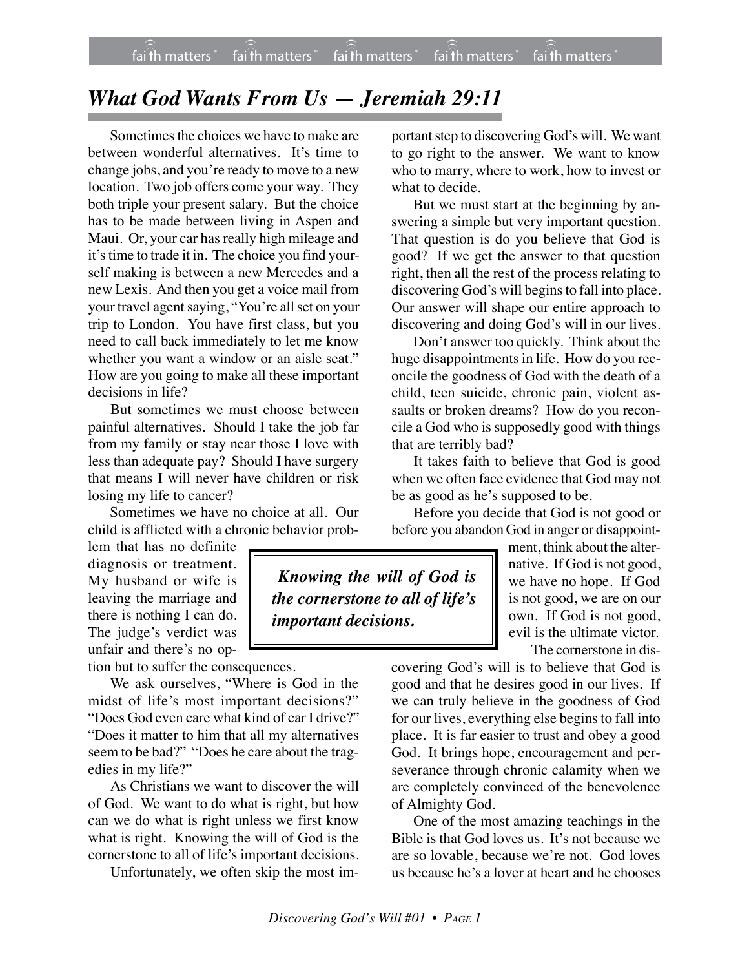## *What God Wants From Us — Jeremiah 29:11*

Sometimes the choices we have to make are between wonderful alternatives. It's time to change jobs, and you're ready to move to a new location. Two job offers come your way. They both triple your present salary. But the choice has to be made between living in Aspen and Maui. Or, your car has really high mileage and it's time to trade it in. The choice you find yourself making is between a new Mercedes and a new Lexis. And then you get a voice mail from your travel agent saying, "You're all set on your trip to London. You have first class, but you need to call back immediately to let me know whether you want a window or an aisle seat." How are you going to make all these important decisions in life?

But sometimes we must choose between painful alternatives. Should I take the job far from my family or stay near those I love with less than adequate pay? Should I have surgery that means I will never have children or risk losing my life to cancer?

Sometimes we have no choice at all. Our child is afflicted with a chronic behavior prob-

lem that has no definite diagnosis or treatment. My husband or wife is leaving the marriage and there is nothing I can do. The judge's verdict was unfair and there's no op-

tion but to suffer the consequences.

We ask ourselves, "Where is God in the midst of life's most important decisions?" "Does God even care what kind of car I drive?" "Does it matter to him that all my alternatives seem to be bad?" "Does he care about the tragedies in my life?"

As Christians we want to discover the will of God. We want to do what is right, but how can we do what is right unless we first know what is right. Knowing the will of God is the cornerstone to all of life's important decisions.

Unfortunately, we often skip the most im-

portant step to discovering God's will. We want to go right to the answer. We want to know who to marry, where to work, how to invest or what to decide.

But we must start at the beginning by answering a simple but very important question. That question is do you believe that God is good? If we get the answer to that question right, then all the rest of the process relating to discovering God's will begins to fall into place. Our answer will shape our entire approach to discovering and doing God's will in our lives.

Don't answer too quickly. Think about the huge disappointments in life. How do you reconcile the goodness of God with the death of a child, teen suicide, chronic pain, violent assaults or broken dreams? How do you reconcile a God who is supposedly good with things that are terribly bad?

It takes faith to believe that God is good when we often face evidence that God may not be as good as he's supposed to be.

Before you decide that God is not good or before you abandon God in anger or disappoint-

 *Knowing the will of God is the cornerstone to all of life's* native. If God is not good, we have no hope. If God is not good, we are on our own. If God is not good, evil is the ultimate victor.

The cornerstone in dis-

ment, think about the alter-

covering God's will is to believe that God is good and that he desires good in our lives. If we can truly believe in the goodness of God for our lives, everything else begins to fall into place. It is far easier to trust and obey a good God. It brings hope, encouragement and perseverance through chronic calamity when we are completely convinced of the benevolence of Almighty God.

One of the most amazing teachings in the Bible is that God loves us. It's not because we are so lovable, because we're not. God loves us because he's a lover at heart and he chooses

*important decisions.*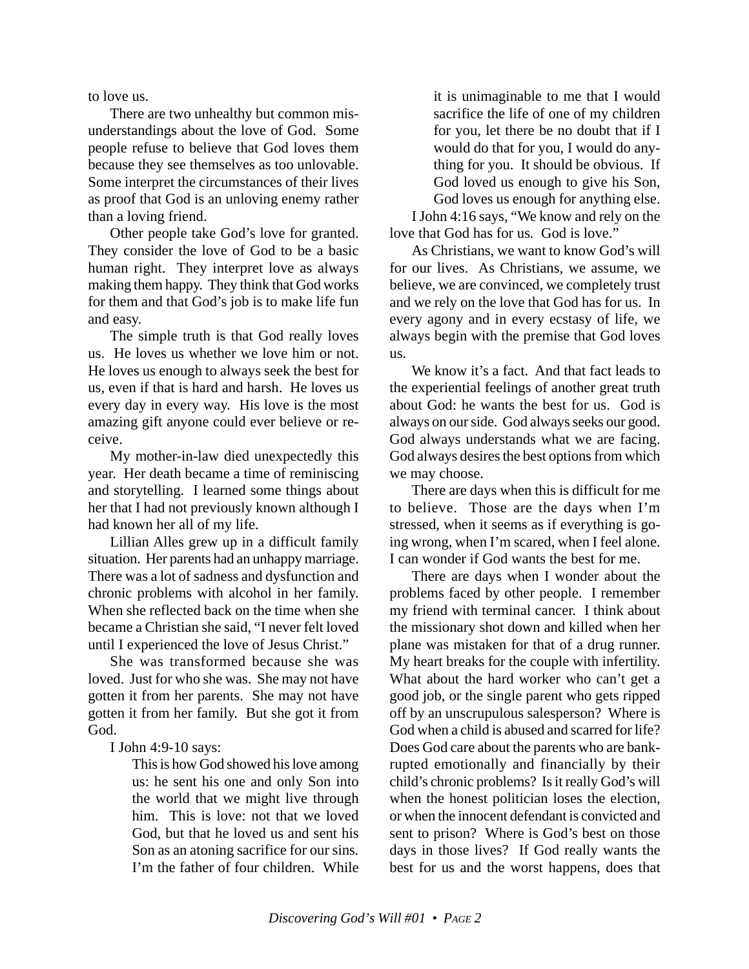to love us.

There are two unhealthy but common misunderstandings about the love of God. Some people refuse to believe that God loves them because they see themselves as too unlovable. Some interpret the circumstances of their lives as proof that God is an unloving enemy rather than a loving friend.

Other people take God's love for granted. They consider the love of God to be a basic human right. They interpret love as always making them happy. They think that God works for them and that God's job is to make life fun and easy.

The simple truth is that God really loves us. He loves us whether we love him or not. He loves us enough to always seek the best for us, even if that is hard and harsh. He loves us every day in every way. His love is the most amazing gift anyone could ever believe or receive.

My mother-in-law died unexpectedly this year. Her death became a time of reminiscing and storytelling. I learned some things about her that I had not previously known although I had known her all of my life.

Lillian Alles grew up in a difficult family situation. Her parents had an unhappy marriage. There was a lot of sadness and dysfunction and chronic problems with alcohol in her family. When she reflected back on the time when she became a Christian she said, "I never felt loved until I experienced the love of Jesus Christ."

She was transformed because she was loved. Just for who she was. She may not have gotten it from her parents. She may not have gotten it from her family. But she got it from God.

I John 4:9-10 says:

This is how God showed his love among us: he sent his one and only Son into the world that we might live through him. This is love: not that we loved God, but that he loved us and sent his Son as an atoning sacrifice for our sins*.* I'm the father of four children. While it is unimaginable to me that I would sacrifice the life of one of my children for you, let there be no doubt that if I would do that for you, I would do anything for you. It should be obvious. If God loved us enough to give his Son, God loves us enough for anything else.

I John 4:16 says, "We know and rely on the love that God has for us*.* God is love."

As Christians, we want to know God's will for our lives. As Christians, we assume, we believe, we are convinced, we completely trust and we rely on the love that God has for us. In every agony and in every ecstasy of life, we always begin with the premise that God loves us.

We know it's a fact. And that fact leads to the experiential feelings of another great truth about God: he wants the best for us. God is always on our side. God always seeks our good. God always understands what we are facing. God always desires the best options from which we may choose.

There are days when this is difficult for me to believe. Those are the days when I'm stressed, when it seems as if everything is going wrong, when I'm scared, when I feel alone. I can wonder if God wants the best for me.

There are days when I wonder about the problems faced by other people. I remember my friend with terminal cancer. I think about the missionary shot down and killed when her plane was mistaken for that of a drug runner. My heart breaks for the couple with infertility. What about the hard worker who can't get a good job, or the single parent who gets ripped off by an unscrupulous salesperson? Where is God when a child is abused and scarred for life? Does God care about the parents who are bankrupted emotionally and financially by their child's chronic problems? Is it really God's will when the honest politician loses the election, or when the innocent defendant is convicted and sent to prison? Where is God's best on those days in those lives? If God really wants the best for us and the worst happens, does that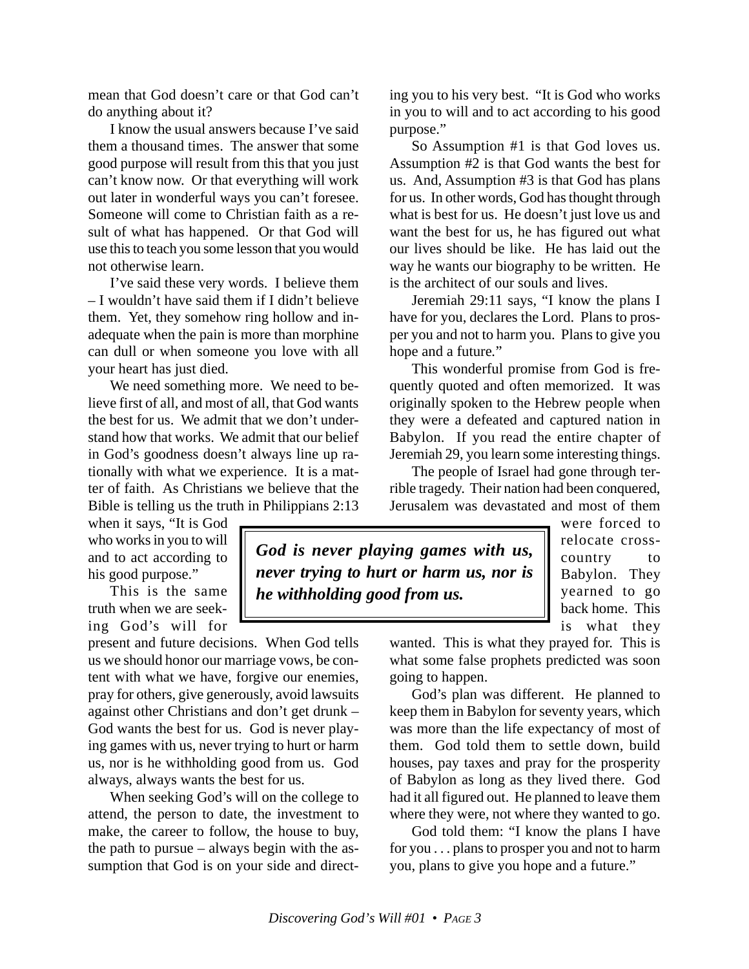mean that God doesn't care or that God can't do anything about it?

I know the usual answers because I've said them a thousand times. The answer that some good purpose will result from this that you just can't know now. Or that everything will work out later in wonderful ways you can't foresee. Someone will come to Christian faith as a result of what has happened. Or that God will use this to teach you some lesson that you would not otherwise learn.

I've said these very words. I believe them – I wouldn't have said them if I didn't believe them. Yet, they somehow ring hollow and inadequate when the pain is more than morphine can dull or when someone you love with all your heart has just died.

We need something more. We need to believe first of all, and most of all, that God wants the best for us. We admit that we don't understand how that works. We admit that our belief in God's goodness doesn't always line up rationally with what we experience. It is a matter of faith. As Christians we believe that the Bible is telling us the truth in Philippians 2:13

when it says, "It is God who works in you to will and to act according to his good purpose."

This is the same truth when we are seeking God's will for

present and future decisions. When God tells us we should honor our marriage vows, be content with what we have, forgive our enemies, pray for others, give generously, avoid lawsuits against other Christians and don't get drunk – God wants the best for us. God is never playing games with us, never trying to hurt or harm us, nor is he withholding good from us. God always, always wants the best for us.

When seeking God's will on the college to attend, the person to date, the investment to make, the career to follow, the house to buy, the path to pursue – always begin with the assumption that God is on your side and direct-

*God is never playing games with us, never trying to hurt or harm us, nor is he withholding good from us.*

ing you to his very best. "It is God who works in you to will and to act according to his good purpose."

So Assumption #1 is that God loves us. Assumption #2 is that God wants the best for us. And, Assumption #3 is that God has plans for us. In other words, God has thought through what is best for us. He doesn't just love us and want the best for us, he has figured out what our lives should be like. He has laid out the way he wants our biography to be written. He is the architect of our souls and lives.

Jeremiah 29:11 says, "I know the plans I have for you, declares the Lord. Plans to prosper you and not to harm you. Plans to give you hope and a future*.*"

This wonderful promise from God is frequently quoted and often memorized. It was originally spoken to the Hebrew people when they were a defeated and captured nation in Babylon. If you read the entire chapter of Jeremiah 29, you learn some interesting things.

The people of Israel had gone through terrible tragedy. Their nation had been conquered, Jerusalem was devastated and most of them

> were forced to relocate crosscountry to Babylon. They yearned to go back home. This is what they

wanted. This is what they prayed for. This is what some false prophets predicted was soon going to happen.

God's plan was different. He planned to keep them in Babylon for seventy years, which was more than the life expectancy of most of them. God told them to settle down, build houses, pay taxes and pray for the prosperity of Babylon as long as they lived there. God had it all figured out. He planned to leave them where they were, not where they wanted to go.

God told them: "I know the plans I have for you . . . plans to prosper you and not to harm you, plans to give you hope and a future."